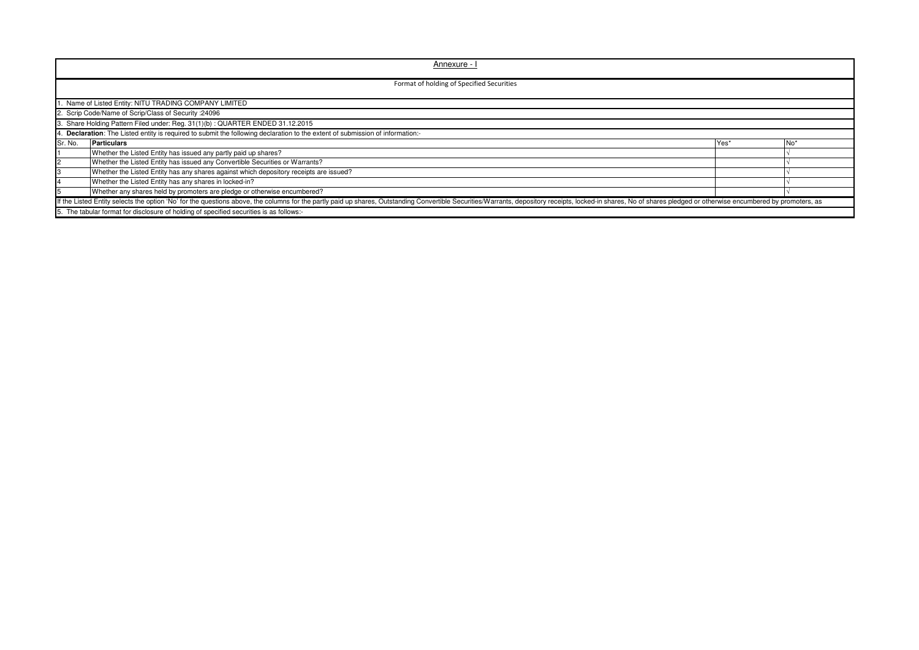|                                                                                                                                | Annexure - I                                                                                                                                                                                                                   |      |    |  |  |  |  |  |  |  |  |  |
|--------------------------------------------------------------------------------------------------------------------------------|--------------------------------------------------------------------------------------------------------------------------------------------------------------------------------------------------------------------------------|------|----|--|--|--|--|--|--|--|--|--|
|                                                                                                                                | Format of holding of Specified Securities                                                                                                                                                                                      |      |    |  |  |  |  |  |  |  |  |  |
|                                                                                                                                | 1. Name of Listed Entity: NITU TRADING COMPANY LIMITED                                                                                                                                                                         |      |    |  |  |  |  |  |  |  |  |  |
|                                                                                                                                | 2. Scrip Code/Name of Scrip/Class of Security :24096                                                                                                                                                                           |      |    |  |  |  |  |  |  |  |  |  |
|                                                                                                                                | 3. Share Holding Pattern Filed under: Reg. 31(1)(b): QUARTER ENDED 31.12.2015                                                                                                                                                  |      |    |  |  |  |  |  |  |  |  |  |
| 4. Declaration: The Listed entity is required to submit the following declaration to the extent of submission of information:- |                                                                                                                                                                                                                                |      |    |  |  |  |  |  |  |  |  |  |
| Sr. No.                                                                                                                        | <b>Particulars</b>                                                                                                                                                                                                             | Yes' | No |  |  |  |  |  |  |  |  |  |
|                                                                                                                                | Whether the Listed Entity has issued any partly paid up shares?                                                                                                                                                                |      |    |  |  |  |  |  |  |  |  |  |
|                                                                                                                                | Whether the Listed Entity has issued any Convertible Securities or Warrants?                                                                                                                                                   |      |    |  |  |  |  |  |  |  |  |  |
| ıз                                                                                                                             | Whether the Listed Entity has any shares against which depository receipts are issued?                                                                                                                                         |      |    |  |  |  |  |  |  |  |  |  |
|                                                                                                                                | Whether the Listed Entity has any shares in locked-in?                                                                                                                                                                         |      |    |  |  |  |  |  |  |  |  |  |
|                                                                                                                                | Whether any shares held by promoters are pledge or otherwise encumbered?                                                                                                                                                       |      |    |  |  |  |  |  |  |  |  |  |
|                                                                                                                                | If the Listed Entity selects the option 'No' for the questions above, the columns for the partly paid up shares, Outstanding Convertible Securities/Warrants, depository receipts, locked-in shares, No of shares pledged or o |      |    |  |  |  |  |  |  |  |  |  |
|                                                                                                                                | 5. The tabular format for disclosure of holding of specified securities is as follows:-                                                                                                                                        |      |    |  |  |  |  |  |  |  |  |  |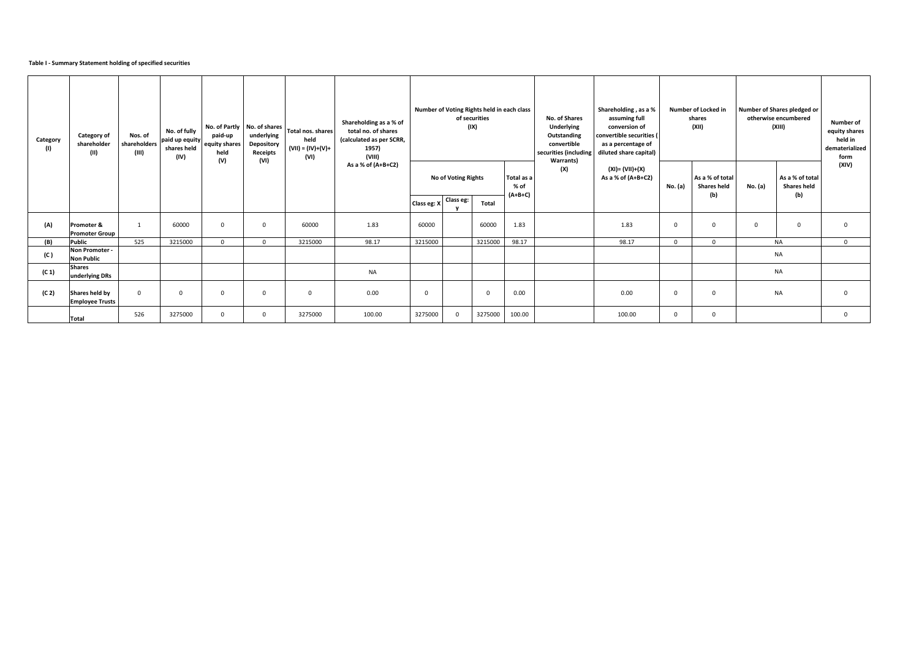## Table I - Summary Statement holding of specified securities

| Category<br>(1)   | Category of<br>shareholder<br>(II)       | Nos. of<br>shareholders<br>(III) | No. of fully<br>paid up equity<br>shares held<br>(IV) | paid-up<br>equity shares<br>held<br>(V) | No. of Partly No. of shares<br>underlying<br>Depository<br>Receipts | Total nos. shares<br>held<br>(VII) = (IV)+(V)+<br>(VI) | Shareholding as a % of<br>total no. of shares<br>(calculated as per SCRR,<br>1957)<br>(VIII) | Number of Voting Rights held in each class<br>of securities<br>(IX) |                     |          |                                 | No. of Shares<br><b>Underlying</b><br>Outstanding<br>convertible<br>securities (including | Shareholding, as a %<br>assuming full<br>conversion of<br>convertible securities<br>as a percentage of<br>diluted share capital) | Number of Locked in<br>shares<br>(XII) |                                              | Number of Shares pledged or<br>otherwise encumbered<br>(XIII) |                                              | Number of<br>equity shares<br>held in<br>dematerialized<br>form |
|-------------------|------------------------------------------|----------------------------------|-------------------------------------------------------|-----------------------------------------|---------------------------------------------------------------------|--------------------------------------------------------|----------------------------------------------------------------------------------------------|---------------------------------------------------------------------|---------------------|----------|---------------------------------|-------------------------------------------------------------------------------------------|----------------------------------------------------------------------------------------------------------------------------------|----------------------------------------|----------------------------------------------|---------------------------------------------------------------|----------------------------------------------|-----------------------------------------------------------------|
|                   |                                          |                                  |                                                       |                                         | (VI)                                                                |                                                        | As a % of (A+B+C2)                                                                           | Class eg: X Class eg:                                               | No of Voting Rights |          | Total as a<br>% of<br>$(A+B+C)$ | Warrants)<br>(X)                                                                          | (XI)= (VII)+(X)<br>As a % of $(A+B+C2)$                                                                                          | No. (a)                                | As a % of total<br><b>Shares held</b><br>(b) | No. (a)                                                       | As a % of total<br><b>Shares held</b><br>(b) | (XIV)                                                           |
|                   |                                          |                                  |                                                       |                                         |                                                                     |                                                        |                                                                                              |                                                                     |                     | Total    |                                 |                                                                                           |                                                                                                                                  |                                        |                                              |                                                               |                                              |                                                                 |
| (A)               | Promoter &<br><b>Promoter Group</b>      |                                  | 60000                                                 | $\mathbf 0$                             | $\mathbf{0}$                                                        | 60000                                                  | 1.83                                                                                         | 60000                                                               |                     | 60000    | 1.83                            |                                                                                           | 1.83                                                                                                                             | $\mathbf 0$                            | $\Omega$                                     | $\mathbf{0}$                                                  | $\mathbf 0$                                  | $\mathbf 0$                                                     |
| (B)               | Public                                   | 525                              | 3215000                                               | $\Omega$                                | $\Omega$                                                            | 3215000                                                | 98.17                                                                                        | 3215000                                                             |                     | 3215000  | 98.17                           |                                                                                           | 98.17                                                                                                                            | $\Omega$                               | $\Omega$                                     |                                                               | <b>NA</b>                                    | $\Omega$                                                        |
| (C)               | Non Promoter -<br><b>Non Public</b>      |                                  |                                                       |                                         |                                                                     |                                                        |                                                                                              |                                                                     |                     |          |                                 |                                                                                           |                                                                                                                                  |                                        |                                              |                                                               | <b>NA</b>                                    |                                                                 |
| (C <sub>1</sub> ) | <b>Shares</b><br>underlying DRs          |                                  |                                                       |                                         |                                                                     |                                                        | NA                                                                                           |                                                                     |                     |          |                                 |                                                                                           |                                                                                                                                  |                                        |                                              | NA                                                            |                                              |                                                                 |
| (C <sub>2</sub> ) | Shares held by<br><b>Employee Trusts</b> | $\mathbf{0}$                     | $\Omega$                                              | $\Omega$                                | $\Omega$                                                            | $\mathbf 0$                                            | 0.00                                                                                         | $\Omega$                                                            |                     | $\Omega$ | 0.00                            |                                                                                           | 0.00                                                                                                                             | $\mathbf 0$                            | 0                                            | NA                                                            |                                              | $\mathbf 0$                                                     |
|                   | Total                                    | 526                              | 3275000                                               | $\Omega$                                | $\mathbf{0}$                                                        | 3275000                                                | 100.00                                                                                       | 3275000                                                             | $\mathbf{0}$        | 3275000  | 100.00                          |                                                                                           | 100.00                                                                                                                           | $\mathbf 0$                            | 0                                            |                                                               |                                              | $\mathbf{0}$                                                    |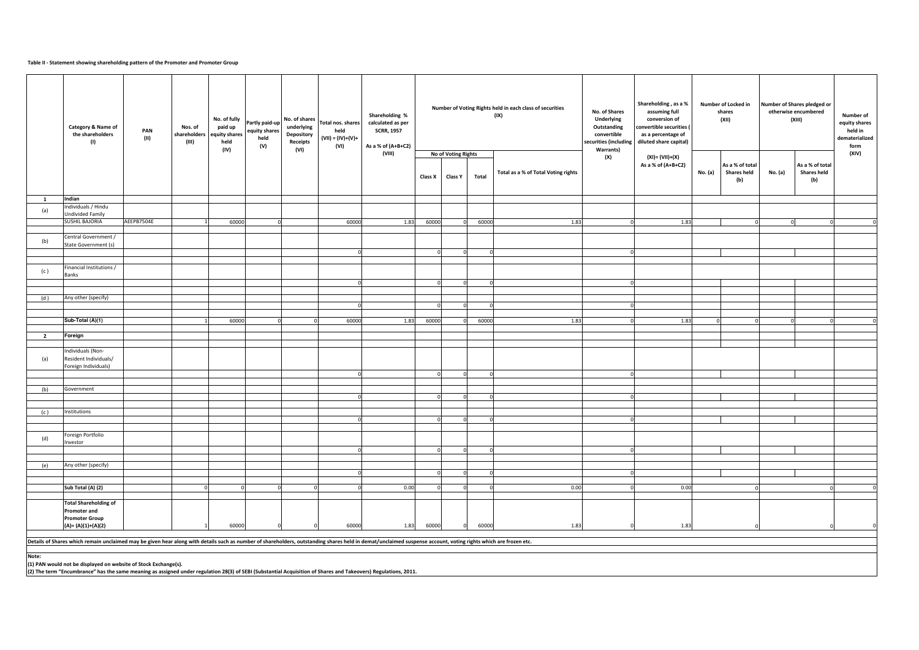## Table II - Statement showing shareholding pattern of the Promoter and Promoter Group

|                | Category & Name of<br>the shareholders<br>(1)                                                                                                                                                                  | PAN<br>(II) | Nos. of<br>shareholders<br>(III) | No. of fully<br>paid up<br>equity shares<br>held<br>(IV) | Partly paid-up<br>equity shares<br>held<br>(V) | No. of shares<br>underlying<br>Depository<br>Receipts<br>(VI) | Total nos. shares<br>held<br>(VII) = (IV)+(V)+<br>(VI) | Shareholding %<br>calculated as per<br><b>SCRR, 1957</b><br>As a % of (A+B+C2) |         |                     |       | Number of Voting Rights held in each class of securities<br>(IX) | No. of Shares<br>Underlying<br>Outstanding<br>convertible<br>securities (including<br><b>Warrants)</b> | Shareholding, as a %<br>assuming full<br>conversion of<br>convertible securities (<br>as a percentage of<br>diluted share capital) | Number of Locked in<br>shares<br>(XII) |                                              | Number of Shares pledged or<br>otherwise encumbered<br>(XIII) |                                              | Number of<br>equity shares<br>held in<br>dematerialized<br>form |
|----------------|----------------------------------------------------------------------------------------------------------------------------------------------------------------------------------------------------------------|-------------|----------------------------------|----------------------------------------------------------|------------------------------------------------|---------------------------------------------------------------|--------------------------------------------------------|--------------------------------------------------------------------------------|---------|---------------------|-------|------------------------------------------------------------------|--------------------------------------------------------------------------------------------------------|------------------------------------------------------------------------------------------------------------------------------------|----------------------------------------|----------------------------------------------|---------------------------------------------------------------|----------------------------------------------|-----------------------------------------------------------------|
|                |                                                                                                                                                                                                                |             |                                  |                                                          |                                                |                                                               |                                                        | (VIII)                                                                         |         | No of Voting Rights |       |                                                                  | (X)                                                                                                    | (XI)= (VII)+(X)                                                                                                                    |                                        |                                              |                                                               |                                              | (XIV)                                                           |
|                |                                                                                                                                                                                                                |             |                                  |                                                          |                                                |                                                               |                                                        |                                                                                | Class X | <b>Class Y</b>      | Total | Total as a % of Total Voting rights                              |                                                                                                        | As a % of (A+B+C2)                                                                                                                 | No. (a)                                | As a % of total<br><b>Shares held</b><br>(b) | No. (a)                                                       | As a % of total<br><b>Shares held</b><br>(b) |                                                                 |
| $\mathbf{1}$   | Indian<br>Individuals / Hindu                                                                                                                                                                                  |             |                                  |                                                          |                                                |                                                               |                                                        |                                                                                |         |                     |       |                                                                  |                                                                                                        |                                                                                                                                    |                                        |                                              |                                                               |                                              |                                                                 |
| (a)            | <b>Undivided Family</b>                                                                                                                                                                                        |             |                                  |                                                          |                                                |                                                               |                                                        |                                                                                |         |                     |       |                                                                  |                                                                                                        |                                                                                                                                    |                                        |                                              |                                                               |                                              |                                                                 |
|                | <b>SUSHIL BAJORIA</b>                                                                                                                                                                                          | AEEPB7504E  |                                  | 60000                                                    |                                                |                                                               | 60000                                                  | 1.83                                                                           | 60000   | $\Omega$            | 60000 | 1.83                                                             |                                                                                                        | 1.83                                                                                                                               |                                        |                                              | $\overline{0}$                                                |                                              |                                                                 |
|                | Central Government /                                                                                                                                                                                           |             |                                  |                                                          |                                                |                                                               |                                                        |                                                                                |         |                     |       |                                                                  |                                                                                                        |                                                                                                                                    |                                        |                                              |                                                               |                                              |                                                                 |
| (b)            | State Government (s)                                                                                                                                                                                           |             |                                  |                                                          |                                                |                                                               |                                                        |                                                                                |         |                     |       |                                                                  |                                                                                                        |                                                                                                                                    |                                        |                                              |                                                               |                                              |                                                                 |
|                |                                                                                                                                                                                                                |             |                                  |                                                          |                                                |                                                               |                                                        |                                                                                |         |                     |       |                                                                  |                                                                                                        |                                                                                                                                    |                                        |                                              |                                                               |                                              |                                                                 |
| (c)            | Financial Institutions /<br><b>Banks</b>                                                                                                                                                                       |             |                                  |                                                          |                                                |                                                               |                                                        |                                                                                |         |                     |       |                                                                  |                                                                                                        |                                                                                                                                    |                                        |                                              |                                                               |                                              |                                                                 |
|                |                                                                                                                                                                                                                |             |                                  |                                                          |                                                |                                                               | $\Omega$                                               |                                                                                |         |                     |       |                                                                  |                                                                                                        |                                                                                                                                    |                                        |                                              |                                                               |                                              |                                                                 |
|                |                                                                                                                                                                                                                |             |                                  |                                                          |                                                |                                                               |                                                        |                                                                                |         |                     |       |                                                                  |                                                                                                        |                                                                                                                                    |                                        |                                              |                                                               |                                              |                                                                 |
| (d)            | Any other (specify)                                                                                                                                                                                            |             |                                  |                                                          |                                                |                                                               |                                                        |                                                                                |         |                     |       |                                                                  |                                                                                                        |                                                                                                                                    |                                        |                                              |                                                               |                                              |                                                                 |
|                |                                                                                                                                                                                                                |             |                                  |                                                          |                                                |                                                               |                                                        |                                                                                |         |                     |       |                                                                  |                                                                                                        |                                                                                                                                    |                                        |                                              |                                                               |                                              |                                                                 |
|                | Sub-Total (A)(1)                                                                                                                                                                                               |             |                                  | 60000                                                    |                                                |                                                               | 60000                                                  | 1.83                                                                           | 60000   |                     | 60000 | 1.83                                                             |                                                                                                        | 1.83                                                                                                                               |                                        |                                              |                                                               |                                              |                                                                 |
| $\overline{2}$ | Foreign                                                                                                                                                                                                        |             |                                  |                                                          |                                                |                                                               |                                                        |                                                                                |         |                     |       |                                                                  |                                                                                                        |                                                                                                                                    |                                        |                                              |                                                               |                                              |                                                                 |
|                | Individuals (Non-                                                                                                                                                                                              |             |                                  |                                                          |                                                |                                                               |                                                        |                                                                                |         |                     |       |                                                                  |                                                                                                        |                                                                                                                                    |                                        |                                              |                                                               |                                              |                                                                 |
| (a)            | Resident Individuals/<br>Foreign Individuals)                                                                                                                                                                  |             |                                  |                                                          |                                                |                                                               |                                                        |                                                                                |         |                     |       |                                                                  |                                                                                                        |                                                                                                                                    |                                        |                                              |                                                               |                                              |                                                                 |
|                |                                                                                                                                                                                                                |             |                                  |                                                          |                                                |                                                               |                                                        |                                                                                |         |                     |       |                                                                  |                                                                                                        |                                                                                                                                    |                                        |                                              |                                                               |                                              |                                                                 |
| (b)            | Government                                                                                                                                                                                                     |             |                                  |                                                          |                                                |                                                               |                                                        |                                                                                |         |                     |       |                                                                  |                                                                                                        |                                                                                                                                    |                                        |                                              |                                                               |                                              |                                                                 |
|                |                                                                                                                                                                                                                |             |                                  |                                                          |                                                |                                                               |                                                        |                                                                                |         |                     |       |                                                                  |                                                                                                        |                                                                                                                                    |                                        |                                              |                                                               |                                              |                                                                 |
| (c)            | Institutions                                                                                                                                                                                                   |             |                                  |                                                          |                                                |                                                               |                                                        |                                                                                |         |                     |       |                                                                  |                                                                                                        |                                                                                                                                    |                                        |                                              |                                                               |                                              |                                                                 |
|                |                                                                                                                                                                                                                |             |                                  |                                                          |                                                |                                                               |                                                        |                                                                                |         |                     |       |                                                                  |                                                                                                        |                                                                                                                                    |                                        |                                              |                                                               |                                              |                                                                 |
| (d)            | Foreign Portfolio                                                                                                                                                                                              |             |                                  |                                                          |                                                |                                                               |                                                        |                                                                                |         |                     |       |                                                                  |                                                                                                        |                                                                                                                                    |                                        |                                              |                                                               |                                              |                                                                 |
|                | nvestor                                                                                                                                                                                                        |             |                                  |                                                          |                                                |                                                               |                                                        |                                                                                |         |                     |       |                                                                  |                                                                                                        |                                                                                                                                    |                                        |                                              |                                                               |                                              |                                                                 |
|                |                                                                                                                                                                                                                |             |                                  |                                                          |                                                |                                                               |                                                        |                                                                                |         |                     |       |                                                                  |                                                                                                        |                                                                                                                                    |                                        |                                              |                                                               |                                              |                                                                 |
| (e)            | Any other (specify)                                                                                                                                                                                            |             |                                  |                                                          |                                                |                                                               |                                                        |                                                                                |         |                     |       |                                                                  |                                                                                                        |                                                                                                                                    |                                        |                                              |                                                               |                                              |                                                                 |
|                |                                                                                                                                                                                                                |             |                                  |                                                          |                                                |                                                               |                                                        |                                                                                |         |                     |       |                                                                  |                                                                                                        |                                                                                                                                    |                                        |                                              |                                                               |                                              |                                                                 |
|                | Sub Total (A) (2)                                                                                                                                                                                              |             |                                  |                                                          |                                                |                                                               |                                                        | 0.00                                                                           |         |                     |       | 0.00                                                             |                                                                                                        | 0.00                                                                                                                               |                                        |                                              |                                                               |                                              |                                                                 |
|                | <b>Total Shareholding of</b><br><b>Promoter and</b><br><b>Promoter Group</b><br>$(A)=(A)(1)+(A)(2)$                                                                                                            |             |                                  | 60000                                                    |                                                |                                                               | 60000                                                  | 1.83                                                                           | 60000   |                     | 60000 | 1.83                                                             |                                                                                                        | 1.83                                                                                                                               |                                        |                                              |                                                               |                                              |                                                                 |
|                |                                                                                                                                                                                                                |             |                                  |                                                          |                                                |                                                               |                                                        |                                                                                |         |                     |       |                                                                  |                                                                                                        |                                                                                                                                    |                                        |                                              |                                                               |                                              |                                                                 |
|                | Details of Shares which remain unclaimed may be given hear along with details such as number of shareholders, outstanding shares held in demat/unclaimed suspense account, voting rights which are frozen etc. |             |                                  |                                                          |                                                |                                                               |                                                        |                                                                                |         |                     |       |                                                                  |                                                                                                        |                                                                                                                                    |                                        |                                              |                                                               |                                              |                                                                 |
| Note:          | (1) PAN would not be displayed on website of Stock Exchange(s).                                                                                                                                                |             |                                  |                                                          |                                                |                                                               |                                                        |                                                                                |         |                     |       |                                                                  |                                                                                                        |                                                                                                                                    |                                        |                                              |                                                               |                                              |                                                                 |

(2) The term "Encumbrance" has the same meaning as assigned under regulation 28(3) of SEBI (Substantial Acquisition of Shares and Takeovers) Regulations, 2011.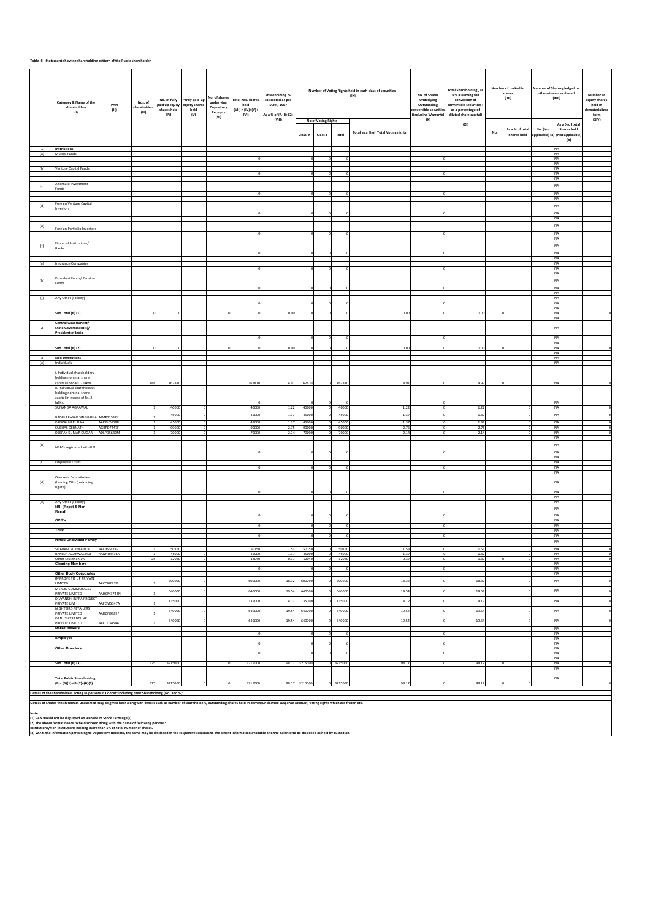| Table III - Statement showing shareholding pattern of the Public shareholder |
|------------------------------------------------------------------------------|
|------------------------------------------------------------------------------|

|                                | Category & Name of the<br>shareholders<br>$\left( 1\right)$                                                                                                                                                    | PAN<br>(II) | Nos. of<br>shareholders<br>$(\mathrm{III})$ | No. of fully<br>paid up equity<br>shares held<br>(IV) | Partly paid-up<br>equity shares<br>held<br>(V) | No. of shares<br>underlying<br>Depository<br>Receipts<br>(VI) | Total nos. shares<br>held<br>$\text{(VII)} = \text{(IV)+(V)} +$<br>(VI) | Shareholding %<br>calculated as per<br><b>SCRR, 1957</b><br>As a % of (A+B+C2)<br>(VIII) |                |                                       |                | Number of Voting Rights held in each class of securities<br>$\left( \mathrm{IX}\right)$ | No. of Shares<br>Underlying<br>Outstanding<br>onvertible securities<br>including Warrants)<br>(X) | Total Shareholding, as<br>a % assuming full<br>conversion of<br>onvertible securities (<br>as a percentage of<br>diluted share capital) |  | Number of Locked in<br>shares<br>(XII) | Number of Shares pledged or<br>otherwise encumbered<br>(XIII)                         | Number of<br>equity shares<br>held in<br>dematerialized<br>form<br>(XIV) |
|--------------------------------|----------------------------------------------------------------------------------------------------------------------------------------------------------------------------------------------------------------|-------------|---------------------------------------------|-------------------------------------------------------|------------------------------------------------|---------------------------------------------------------------|-------------------------------------------------------------------------|------------------------------------------------------------------------------------------|----------------|---------------------------------------|----------------|-----------------------------------------------------------------------------------------|---------------------------------------------------------------------------------------------------|-----------------------------------------------------------------------------------------------------------------------------------------|--|----------------------------------------|---------------------------------------------------------------------------------------|--------------------------------------------------------------------------|
|                                |                                                                                                                                                                                                                |             |                                             |                                                       |                                                |                                                               |                                                                         |                                                                                          | Class X        | No of Voting Rights<br><b>Class Y</b> | Total          | Total as a % of Total Voting rights                                                     |                                                                                                   | (XI)<br>No.                                                                                                                             |  | As a % of total<br>Shares held         | As a % of total<br>No. (Not<br>Shares held<br>applicable) (a) (Not applicable)<br>(b) |                                                                          |
| 1<br>(a)                       | Institutions<br>Mutual Funds                                                                                                                                                                                   |             |                                             |                                                       |                                                |                                                               |                                                                         |                                                                                          |                |                                       |                |                                                                                         |                                                                                                   |                                                                                                                                         |  |                                        | NA<br>NA                                                                              |                                                                          |
|                                |                                                                                                                                                                                                                |             |                                             |                                                       |                                                |                                                               |                                                                         |                                                                                          |                |                                       |                |                                                                                         |                                                                                                   |                                                                                                                                         |  |                                        | NA<br>NA                                                                              |                                                                          |
| (b)                            | Venture Capital Funds                                                                                                                                                                                          |             |                                             |                                                       |                                                |                                                               |                                                                         |                                                                                          |                |                                       |                |                                                                                         |                                                                                                   |                                                                                                                                         |  |                                        | <b>NA</b><br>NA                                                                       |                                                                          |
| (c)                            | Alternate Investment<br>Funds                                                                                                                                                                                  |             |                                             |                                                       |                                                |                                                               |                                                                         |                                                                                          |                |                                       |                |                                                                                         |                                                                                                   |                                                                                                                                         |  |                                        | NA<br>$_{\rm NA}$                                                                     |                                                                          |
|                                |                                                                                                                                                                                                                |             |                                             |                                                       |                                                |                                                               |                                                                         |                                                                                          | $\sqrt{2}$     |                                       |                |                                                                                         |                                                                                                   |                                                                                                                                         |  |                                        | NA<br>NA                                                                              |                                                                          |
| (d)                            | Foreign Venture Capital<br>nvestors                                                                                                                                                                            |             |                                             |                                                       |                                                |                                                               |                                                                         |                                                                                          |                |                                       |                |                                                                                         |                                                                                                   |                                                                                                                                         |  |                                        | $_{\sf NA}$                                                                           |                                                                          |
|                                |                                                                                                                                                                                                                |             |                                             |                                                       |                                                |                                                               |                                                                         |                                                                                          | $\Omega$       |                                       |                |                                                                                         |                                                                                                   |                                                                                                                                         |  |                                        | <b>NA</b><br>NA                                                                       |                                                                          |
| (e)                            | oreign Portfolio Investors                                                                                                                                                                                     |             |                                             |                                                       |                                                |                                                               |                                                                         |                                                                                          |                |                                       |                |                                                                                         |                                                                                                   |                                                                                                                                         |  |                                        | $_{\sf NA}$                                                                           |                                                                          |
|                                |                                                                                                                                                                                                                |             |                                             |                                                       |                                                |                                                               |                                                                         |                                                                                          |                |                                       |                |                                                                                         |                                                                                                   |                                                                                                                                         |  |                                        | NA<br>NA                                                                              |                                                                          |
| (f)                            | inancial Institutions/                                                                                                                                                                                         |             |                                             |                                                       |                                                |                                                               |                                                                         |                                                                                          |                |                                       |                |                                                                                         |                                                                                                   |                                                                                                                                         |  |                                        | NA                                                                                    |                                                                          |
|                                | Banks                                                                                                                                                                                                          |             |                                             |                                                       |                                                |                                                               |                                                                         |                                                                                          |                |                                       |                |                                                                                         |                                                                                                   |                                                                                                                                         |  |                                        | NA                                                                                    |                                                                          |
| (g)                            | <b>Insurance Companies</b>                                                                                                                                                                                     |             |                                             |                                                       |                                                |                                                               |                                                                         |                                                                                          |                |                                       |                |                                                                                         |                                                                                                   |                                                                                                                                         |  |                                        | NA<br>NA                                                                              |                                                                          |
|                                |                                                                                                                                                                                                                |             |                                             |                                                       |                                                |                                                               |                                                                         |                                                                                          |                |                                       |                |                                                                                         |                                                                                                   |                                                                                                                                         |  |                                        | NA<br>NA                                                                              |                                                                          |
| (h)                            | Provident Funds/ Pension<br>unds                                                                                                                                                                               |             |                                             |                                                       |                                                |                                                               |                                                                         |                                                                                          |                |                                       |                |                                                                                         |                                                                                                   |                                                                                                                                         |  |                                        | NA                                                                                    |                                                                          |
|                                |                                                                                                                                                                                                                |             |                                             |                                                       |                                                |                                                               |                                                                         |                                                                                          |                |                                       |                |                                                                                         |                                                                                                   |                                                                                                                                         |  |                                        | NA<br><b>NA</b>                                                                       |                                                                          |
| (i)                            | Any Other (specify)                                                                                                                                                                                            |             |                                             |                                                       |                                                |                                                               |                                                                         |                                                                                          |                |                                       |                |                                                                                         |                                                                                                   |                                                                                                                                         |  |                                        | <b>NA</b><br>NA                                                                       |                                                                          |
|                                |                                                                                                                                                                                                                |             |                                             |                                                       |                                                |                                                               |                                                                         |                                                                                          |                |                                       |                |                                                                                         |                                                                                                   |                                                                                                                                         |  |                                        | <b>NA</b>                                                                             |                                                                          |
|                                | Sub Total (B) (1)                                                                                                                                                                                              |             |                                             |                                                       |                                                | $\Omega$                                                      |                                                                         | 0.00                                                                                     |                |                                       |                | 0.00                                                                                    |                                                                                                   | 0.00                                                                                                                                    |  | $\Omega$                               | NA<br>NA                                                                              |                                                                          |
| $\overline{\mathbf{z}}$        | Central Government/<br>State Government(s)/<br>President of India                                                                                                                                              |             |                                             |                                                       |                                                |                                                               |                                                                         |                                                                                          |                |                                       |                |                                                                                         |                                                                                                   |                                                                                                                                         |  |                                        | NA                                                                                    |                                                                          |
|                                |                                                                                                                                                                                                                |             |                                             |                                                       |                                                |                                                               |                                                                         |                                                                                          |                |                                       |                |                                                                                         |                                                                                                   |                                                                                                                                         |  |                                        | NA<br>NA                                                                              |                                                                          |
|                                | Sub Total (B) (2)                                                                                                                                                                                              |             |                                             |                                                       |                                                |                                                               |                                                                         | 0.00                                                                                     |                |                                       |                | 0.00                                                                                    |                                                                                                   | 0.00                                                                                                                                    |  |                                        | NA<br>NA                                                                              |                                                                          |
| $\overline{\mathbf{3}}$<br>(a) | Non-institutions<br>Individuals                                                                                                                                                                                |             |                                             |                                                       |                                                |                                                               |                                                                         |                                                                                          |                |                                       |                |                                                                                         |                                                                                                   |                                                                                                                                         |  |                                        | NA<br>NA                                                                              |                                                                          |
|                                | . Individual shareholders                                                                                                                                                                                      |             |                                             |                                                       |                                                |                                                               |                                                                         |                                                                                          |                |                                       |                |                                                                                         |                                                                                                   |                                                                                                                                         |  |                                        |                                                                                       |                                                                          |
|                                | holding nominal share<br>capital up to Rs. 2 lakhs.<br>ii. Individual shareholders                                                                                                                             |             | 488                                         | 162810                                                |                                                |                                                               | 162810                                                                  |                                                                                          | 4.97 162810    |                                       | 162810         | 4.97                                                                                    |                                                                                                   | 4.97                                                                                                                                    |  |                                        | NA                                                                                    |                                                                          |
|                                | holding nominal share<br>capital in excess of Rs. 2                                                                                                                                                            |             |                                             |                                                       |                                                |                                                               |                                                                         |                                                                                          |                |                                       |                |                                                                                         |                                                                                                   |                                                                                                                                         |  |                                        |                                                                                       |                                                                          |
|                                | lakhs.                                                                                                                                                                                                         |             |                                             |                                                       |                                                |                                                               |                                                                         |                                                                                          |                |                                       |                |                                                                                         |                                                                                                   |                                                                                                                                         |  |                                        | NA                                                                                    |                                                                          |
|                                | SUNANDA AGRAWAL                                                                                                                                                                                                |             |                                             | 40000<br>45000                                        | $\Omega$<br>$\mathbf 0$                        |                                                               | 40000<br>45000                                                          | 1.22<br>1.37                                                                             | 40000<br>45000 |                                       | 40000<br>45000 | 1.22<br>1.37                                                                            |                                                                                                   | 1.22<br>1.37                                                                                                                            |  |                                        | NA<br>$_{\rm NA}$                                                                     | $\mathbf{0}$                                                             |
|                                | BADRI PRASAD SINGHANIA AJMPS1532L<br>PANKAJ HARLALKA                                                                                                                                                           | AAPPH7619R  |                                             | 45000                                                 | $\mathbf{0}$                                   |                                                               | 45000                                                                   | 1.37                                                                                     | 45000          | $\circ$                               | 45000          | 1.37                                                                                    |                                                                                                   | 1.37                                                                                                                                    |  | $\circ$                                | <b>NA</b>                                                                             | $\mathbf{0}$                                                             |
|                                | <b>SUBHAS DEBNATH</b><br>DEEPAK KUMAR DUGAR ADLPD5632M                                                                                                                                                         | AGBPD7447F  |                                             | 90000<br>70000                                        | $^{\circ}$<br>$\circ$                          |                                                               | 90000<br>70000                                                          | 2.75<br>2.14                                                                             | 90000<br>70000 | $\circ$                               | 90000<br>70000 | 2.75<br>2.14                                                                            | $\Omega$                                                                                          | 2.75<br>2.14                                                                                                                            |  | $\circ$<br>$\circ$                     | <b>NA</b><br>NA                                                                       |                                                                          |
|                                |                                                                                                                                                                                                                |             |                                             |                                                       |                                                |                                                               |                                                                         |                                                                                          |                |                                       |                |                                                                                         |                                                                                                   |                                                                                                                                         |  |                                        | NA                                                                                    |                                                                          |
| (b)                            | NBFCs registered with RBI                                                                                                                                                                                      |             |                                             |                                                       |                                                |                                                               |                                                                         |                                                                                          |                |                                       |                |                                                                                         |                                                                                                   |                                                                                                                                         |  |                                        | $_{\sf NA}$<br>NA                                                                     |                                                                          |
|                                |                                                                                                                                                                                                                |             |                                             |                                                       |                                                |                                                               |                                                                         |                                                                                          |                |                                       |                |                                                                                         |                                                                                                   |                                                                                                                                         |  |                                        | NA                                                                                    |                                                                          |
| (c)                            | <b>Employee Trusts</b>                                                                                                                                                                                         |             |                                             |                                                       |                                                |                                                               |                                                                         |                                                                                          |                |                                       |                |                                                                                         |                                                                                                   |                                                                                                                                         |  |                                        | NA<br>NA                                                                              |                                                                          |
| (d)                            | Overseas Depositories<br>(holding DRs) (balancing<br>figure)                                                                                                                                                   |             |                                             |                                                       |                                                |                                                               |                                                                         |                                                                                          |                |                                       |                |                                                                                         |                                                                                                   |                                                                                                                                         |  |                                        | NA<br>$_{\rm NA}$                                                                     |                                                                          |
|                                |                                                                                                                                                                                                                |             |                                             |                                                       |                                                |                                                               |                                                                         |                                                                                          |                |                                       |                |                                                                                         |                                                                                                   |                                                                                                                                         |  |                                        | NA<br>NA                                                                              |                                                                          |
| (e)                            | Any Other (specify)                                                                                                                                                                                            |             |                                             |                                                       |                                                |                                                               |                                                                         |                                                                                          |                |                                       |                |                                                                                         |                                                                                                   |                                                                                                                                         |  |                                        | NA                                                                                    |                                                                          |
|                                | <b>NRI (Repat &amp; Non</b><br>Repat)                                                                                                                                                                          |             |                                             |                                                       |                                                |                                                               |                                                                         |                                                                                          |                |                                       |                |                                                                                         |                                                                                                   |                                                                                                                                         |  |                                        | $_{\sf NA}$<br>NA                                                                     |                                                                          |
|                                | OCB's                                                                                                                                                                                                          |             |                                             |                                                       |                                                |                                                               |                                                                         |                                                                                          |                |                                       |                |                                                                                         |                                                                                                   |                                                                                                                                         |  |                                        | <b>NA</b>                                                                             |                                                                          |
|                                | <b>Trust</b>                                                                                                                                                                                                   |             |                                             |                                                       |                                                |                                                               |                                                                         |                                                                                          |                |                                       |                |                                                                                         |                                                                                                   |                                                                                                                                         |  |                                        | <b>NA</b><br>NA                                                                       |                                                                          |
|                                | <b>Hindu Undivided Family</b>                                                                                                                                                                                  |             |                                             |                                                       |                                                |                                                               |                                                                         |                                                                                          |                |                                       |                |                                                                                         |                                                                                                   |                                                                                                                                         |  |                                        | <b>NA</b><br>NA                                                                       |                                                                          |
|                                | SITARAM SUREKA HUF AALHS6428P                                                                                                                                                                                  |             |                                             | 50150                                                 |                                                |                                                               | 50150                                                                   | 1.53                                                                                     | 50150          |                                       | 50150          | 1.53                                                                                    |                                                                                                   | 1.53                                                                                                                                    |  |                                        | <b>NA</b>                                                                             |                                                                          |
|                                | RAKESH AGARWAL HUF AANHR4436A<br>Other Less then 1%                                                                                                                                                            |             |                                             | 45000<br>12040                                        |                                                |                                                               | 45000<br>12040                                                          | 1.37<br>0.37                                                                             | 45000<br>12040 | $\overline{0}$                        | 45000<br>12040 | 1.37<br>0.37                                                                            |                                                                                                   | 1.37<br>0.37                                                                                                                            |  |                                        | NA<br>NA                                                                              |                                                                          |
|                                | <b>Clearing Members</b>                                                                                                                                                                                        |             |                                             |                                                       |                                                |                                                               |                                                                         |                                                                                          |                |                                       |                |                                                                                         |                                                                                                   |                                                                                                                                         |  |                                        | NA<br>NA                                                                              |                                                                          |
|                                | <b>Other Body Corporates</b><br><b>IMPROVE TIE UP PRIVATE</b>                                                                                                                                                  |             |                                             |                                                       |                                                |                                                               |                                                                         |                                                                                          |                |                                       |                |                                                                                         |                                                                                                   |                                                                                                                                         |  |                                        | NA                                                                                    |                                                                          |
|                                | <b>LIMITED</b><br>MERLIN COMMOSALES                                                                                                                                                                            | ACCI0227Q   |                                             | 600000                                                |                                                |                                                               | 600000                                                                  | 18.32                                                                                    | 600000         |                                       | 600000         | 18.32                                                                                   |                                                                                                   | 18.32                                                                                                                                   |  |                                        | $_{\sf NA}$                                                                           | $\circ$                                                                  |
|                                | PRIVATE LIMITED<br>DIVYANSHI INFRA PROJECT                                                                                                                                                                     | AAHCM3743N  |                                             | 640000                                                |                                                |                                                               | 640000                                                                  | 19.54                                                                                    | 640000         |                                       | 640000         | 19.54                                                                                   |                                                                                                   | 19.54                                                                                                                                   |  |                                        | $_{\sf NA}$                                                                           | $\circ$                                                                  |
|                                | PRIVATE LIM                                                                                                                                                                                                    | AAFCM5147A  |                                             | 135000                                                | $\overline{0}$                                 |                                                               | 135000                                                                  | 4.12                                                                                     | 135000         |                                       | 135000         | 4.12                                                                                    |                                                                                                   | 4.12                                                                                                                                    |  | $\circ$                                | NA                                                                                    | $\,$ 0 $\,$                                                              |
|                                | NIGHTBIRD RETAILERS<br>PRIVATE LIMITED                                                                                                                                                                         | AADCN9389F  |                                             | 640000                                                |                                                |                                                               | 640000                                                                  | 19.54                                                                                    | 640000         |                                       | 640000         | 19.54                                                                                   |                                                                                                   | 19.54                                                                                                                                   |  |                                        | NA                                                                                    | $\,$ 0 $\,$                                                              |
|                                | <b>DANUSH TRADELINK</b><br>PRIVATE LIMITED                                                                                                                                                                     | AAECD3454A  |                                             | 640000                                                |                                                |                                                               | 640000                                                                  | 19.54                                                                                    | 640000         |                                       | 640000         | 19.54                                                                                   |                                                                                                   | 19.54                                                                                                                                   |  |                                        | NA                                                                                    | $\bf{0}$                                                                 |
|                                | <b>Market Makers</b>                                                                                                                                                                                           |             |                                             |                                                       |                                                |                                                               |                                                                         |                                                                                          |                |                                       |                |                                                                                         |                                                                                                   |                                                                                                                                         |  |                                        | NA<br>NA                                                                              |                                                                          |
|                                | Employee                                                                                                                                                                                                       |             |                                             |                                                       |                                                |                                                               |                                                                         |                                                                                          |                |                                       |                |                                                                                         |                                                                                                   |                                                                                                                                         |  |                                        | <b>NA</b><br>NA                                                                       |                                                                          |
|                                | <b>Other Directors</b>                                                                                                                                                                                         |             |                                             |                                                       |                                                |                                                               |                                                                         |                                                                                          |                |                                       |                |                                                                                         |                                                                                                   |                                                                                                                                         |  |                                        | <b>NA</b><br><b>NA</b>                                                                |                                                                          |
|                                | Sub Total (B) (3)                                                                                                                                                                                              |             | 525                                         | 3215000                                               |                                                | $\circ$                                                       | 3215000                                                                 |                                                                                          | 98.17 3215000  |                                       | 0 3215000      | 98.17                                                                                   |                                                                                                   | 98.17                                                                                                                                   |  | $\theta$                               | <b>NA</b><br><b>NA</b>                                                                |                                                                          |
|                                |                                                                                                                                                                                                                |             |                                             |                                                       |                                                |                                                               |                                                                         |                                                                                          |                |                                       |                |                                                                                         |                                                                                                   |                                                                                                                                         |  |                                        | <b>NA</b>                                                                             |                                                                          |
|                                | <b>Total Public Shareholding</b><br>$(B)=(B)(1)+(B)(2)+(B)(3)$                                                                                                                                                 |             | 525                                         | 3215000                                               |                                                |                                                               | 3215000                                                                 |                                                                                          | 98.17 3215000  |                                       | 3215000        | 98.17                                                                                   |                                                                                                   | 98.17                                                                                                                                   |  |                                        | NA                                                                                    |                                                                          |
|                                | Details of the shareholders acting as persons in Concert including their Shareholding (No. and %):                                                                                                             |             |                                             |                                                       |                                                |                                                               |                                                                         |                                                                                          |                |                                       |                |                                                                                         |                                                                                                   |                                                                                                                                         |  |                                        |                                                                                       |                                                                          |
|                                | Details of Shares which remain unclaimed may be given hear along with details such as number of shareholders, outstanding shares held in demat/unclaimed suspense account, voting rights which are frozen etc. |             |                                             |                                                       |                                                |                                                               |                                                                         |                                                                                          |                |                                       |                |                                                                                         |                                                                                                   |                                                                                                                                         |  |                                        |                                                                                       |                                                                          |
| Note:                          |                                                                                                                                                                                                                |             |                                             |                                                       |                                                |                                                               |                                                                         |                                                                                          |                |                                       |                |                                                                                         |                                                                                                   |                                                                                                                                         |  |                                        |                                                                                       |                                                                          |
|                                | (1) PAN would not be displayed on website of Stock Exchange(s).                                                                                                                                                |             |                                             |                                                       |                                                |                                                               |                                                                         |                                                                                          |                |                                       |                |                                                                                         |                                                                                                   |                                                                                                                                         |  |                                        |                                                                                       |                                                                          |

(1) PAN wouds not be disploed on website of Stock Exchange(s)<br>(2) The above format needs to be disclosed along with the name of following persons:<br>(3) Wr.t. the information pertaining to Depository Receipts, the same may b